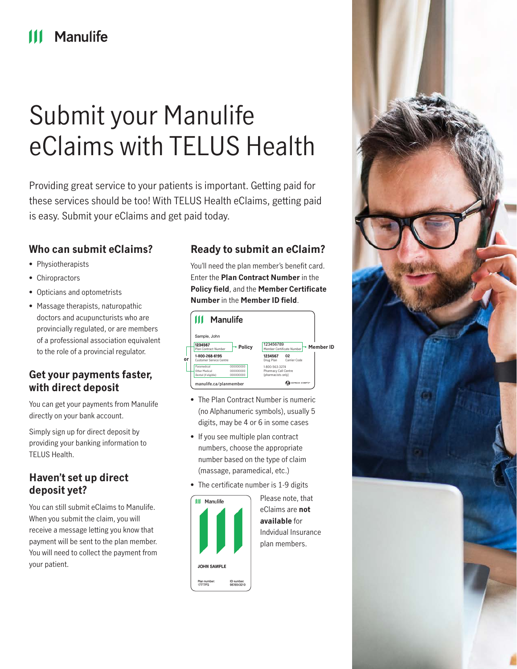## Manulife

# Submit your Manulife eClaims with TELUS Health

Providing great service to your patients is important. Getting paid for these services should be too! With TELUS Health eClaims, getting paid is easy. Submit your eClaims and get paid today.

## **Who can submit eClaims?**

- Physiotherapists
- Chiropractors
- Opticians and optometrists
- Massage therapists, naturopathic doctors and acupuncturists who are provincially regulated, or are members of a professional association equivalent to the role of a provincial regulator.

## **Get your payments faster, with direct deposit**

You can get your payments from Manulife directly on your bank account.

Simply sign up for direct deposit by providing your banking information to TELUS Health.

## **Haven't set up direct deposit yet?**

You can still submit eClaims to Manulife. When you submit the claim, you will receive a message letting you know that payment will be sent to the plan member. You will need to collect the payment from your patient.

## **Ready to submit an eClaim?**

You'll need the plan member's benefit card. Enter the **Plan Contract Number** in the **Policy field**, and the **Member Certificate Number** in the **Member ID field**.



- The Plan Contract Number is numeric (no Alphanumeric symbols), usually 5 digits, may be 4 or 6 in some cases
- If you see multiple plan contract numbers, choose the appropriate number based on the type of claim (massage, paramedical, etc.)
- The certificate number is 1-9 digits



Please note, that eClaims are **not available** for Indvidual Insurance plan members.